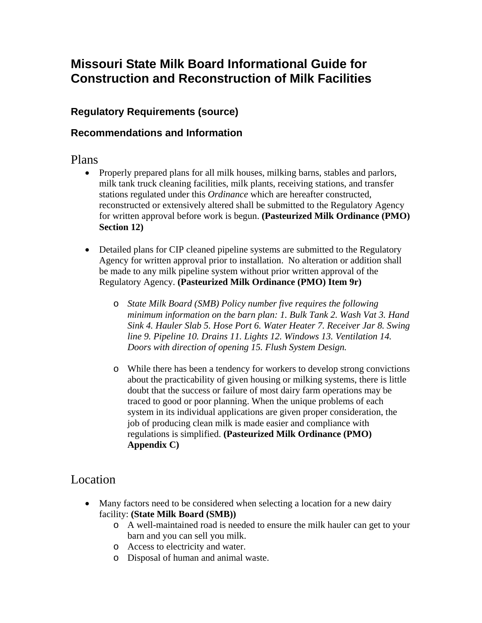# **Missouri State Milk Board Informational Guide for Construction and Reconstruction of Milk Facilities**

# **Regulatory Requirements (source)**

# **Recommendations and Information**

# Plans

- Properly prepared plans for all milk houses, milking barns, stables and parlors, milk tank truck cleaning facilities, milk plants, receiving stations, and transfer stations regulated under this *Ordinance* which are hereafter constructed, reconstructed or extensively altered shall be submitted to the Regulatory Agency for written approval before work is begun. **(Pasteurized Milk Ordinance (PMO) Section 12)**
- Detailed plans for CIP cleaned pipeline systems are submitted to the Regulatory Agency for written approval prior to installation. No alteration or addition shall be made to any milk pipeline system without prior written approval of the Regulatory Agency. **(Pasteurized Milk Ordinance (PMO) Item 9r)** 
	- o *State Milk Board (SMB) Policy number five requires the following minimum information on the barn plan: 1. Bulk Tank 2. Wash Vat 3. Hand Sink 4. Hauler Slab 5. Hose Port 6. Water Heater 7. Receiver Jar 8. Swing line 9. Pipeline 10. Drains 11. Lights 12. Windows 13. Ventilation 14. Doors with direction of opening 15. Flush System Design.*
	- o While there has been a tendency for workers to develop strong convictions about the practicability of given housing or milking systems, there is little doubt that the success or failure of most dairy farm operations may be traced to good or poor planning. When the unique problems of each system in its individual applications are given proper consideration, the job of producing clean milk is made easier and compliance with regulations is simplified. **(Pasteurized Milk Ordinance (PMO) Appendix C)**

# Location

- Many factors need to be considered when selecting a location for a new dairy facility: **(State Milk Board (SMB))**
	- o A well-maintained road is needed to ensure the milk hauler can get to your barn and you can sell you milk.
	- o Access to electricity and water.
	- o Disposal of human and animal waste.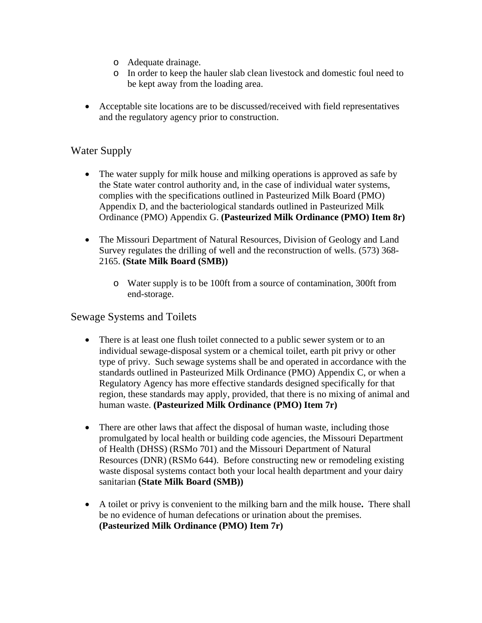- o Adequate drainage.
- o In order to keep the hauler slab clean livestock and domestic foul need to be kept away from the loading area.
- Acceptable site locations are to be discussed/received with field representatives and the regulatory agency prior to construction.

### Water Supply

- The water supply for milk house and milking operations is approved as safe by the State water control authority and, in the case of individual water systems, complies with the specifications outlined in Pasteurized Milk Board (PMO) Appendix D, and the bacteriological standards outlined in Pasteurized Milk Ordinance (PMO) Appendix G. **(Pasteurized Milk Ordinance (PMO) Item 8r)**
- The Missouri Department of Natural Resources, Division of Geology and Land Survey regulates the drilling of well and the reconstruction of wells. (573) 368- 2165. **(State Milk Board (SMB))** 
	- o Water supply is to be 100ft from a source of contamination, 300ft from end-storage.

#### Sewage Systems and Toilets

- There is at least one flush toilet connected to a public sewer system or to an individual sewage-disposal system or a chemical toilet, earth pit privy or other type of privy. Such sewage systems shall be and operated in accordance with the standards outlined in Pasteurized Milk Ordinance (PMO) Appendix C, or when a Regulatory Agency has more effective standards designed specifically for that region, these standards may apply, provided, that there is no mixing of animal and human waste. **(Pasteurized Milk Ordinance (PMO) Item 7r)**
- There are other laws that affect the disposal of human waste, including those promulgated by local health or building code agencies, the Missouri Department of Health (DHSS) (RSMo 701) and the Missouri Department of Natural Resources (DNR) (RSMo 644). Before constructing new or remodeling existing waste disposal systems contact both your local health department and your dairy sanitarian **(State Milk Board (SMB))**
- A toilet or privy is convenient to the milking barn and the milk house**.** There shall be no evidence of human defecations or urination about the premises. **(Pasteurized Milk Ordinance (PMO) Item 7r)**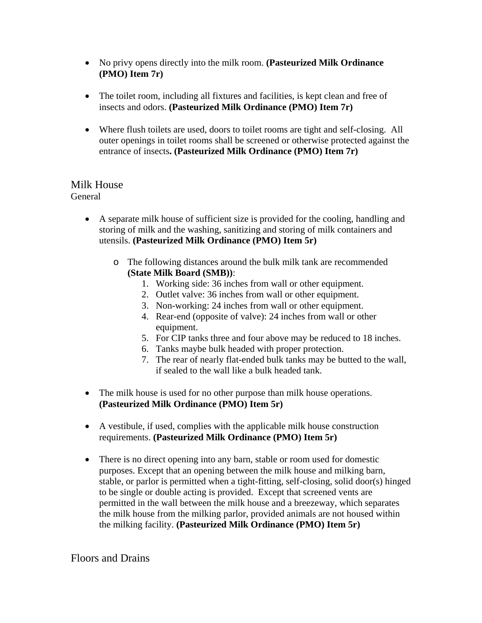- No privy opens directly into the milk room. **(Pasteurized Milk Ordinance (PMO) Item 7r)**
- The toilet room, including all fixtures and facilities, is kept clean and free of insects and odors. **(Pasteurized Milk Ordinance (PMO) Item 7r)**
- Where flush toilets are used, doors to toilet rooms are tight and self-closing. All outer openings in toilet rooms shall be screened or otherwise protected against the entrance of insects**. (Pasteurized Milk Ordinance (PMO) Item 7r)**

#### Milk House General

- A separate milk house of sufficient size is provided for the cooling, handling and storing of milk and the washing, sanitizing and storing of milk containers and utensils. **(Pasteurized Milk Ordinance (PMO) Item 5r)** 
	- o The following distances around the bulk milk tank are recommended **(State Milk Board (SMB))**:
		- 1. Working side: 36 inches from wall or other equipment.
		- 2. Outlet valve: 36 inches from wall or other equipment.
		- 3. Non-working: 24 inches from wall or other equipment.
		- 4. Rear-end (opposite of valve): 24 inches from wall or other equipment.
		- 5. For CIP tanks three and four above may be reduced to 18 inches.
		- 6. Tanks maybe bulk headed with proper protection.
		- 7. The rear of nearly flat-ended bulk tanks may be butted to the wall, if sealed to the wall like a bulk headed tank.
- The milk house is used for no other purpose than milk house operations. **(Pasteurized Milk Ordinance (PMO) Item 5r)**
- A vestibule, if used, complies with the applicable milk house construction requirements. **(Pasteurized Milk Ordinance (PMO) Item 5r)**
- There is no direct opening into any barn, stable or room used for domestic purposes. Except that an opening between the milk house and milking barn, stable, or parlor is permitted when a tight-fitting, self-closing, solid door(s) hinged to be single or double acting is provided. Except that screened vents are permitted in the wall between the milk house and a breezeway, which separates the milk house from the milking parlor, provided animals are not housed within the milking facility. **(Pasteurized Milk Ordinance (PMO) Item 5r)**

Floors and Drains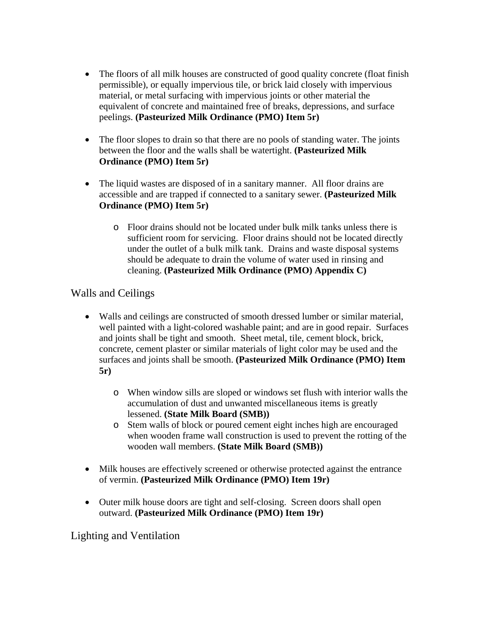- The floors of all milk houses are constructed of good quality concrete (float finish permissible), or equally impervious tile, or brick laid closely with impervious material, or metal surfacing with impervious joints or other material the equivalent of concrete and maintained free of breaks, depressions, and surface peelings. **(Pasteurized Milk Ordinance (PMO) Item 5r)**
- The floor slopes to drain so that there are no pools of standing water. The joints between the floor and the walls shall be watertight. **(Pasteurized Milk Ordinance (PMO) Item 5r)**
- The liquid wastes are disposed of in a sanitary manner. All floor drains are accessible and are trapped if connected to a sanitary sewer. **(Pasteurized Milk Ordinance (PMO) Item 5r)**
	- o Floor drains should not be located under bulk milk tanks unless there is sufficient room for servicing. Floor drains should not be located directly under the outlet of a bulk milk tank. Drains and waste disposal systems should be adequate to drain the volume of water used in rinsing and cleaning. **(Pasteurized Milk Ordinance (PMO) Appendix C)**

# Walls and Ceilings

- Walls and ceilings are constructed of smooth dressed lumber or similar material, well painted with a light-colored washable paint; and are in good repair. Surfaces and joints shall be tight and smooth. Sheet metal, tile, cement block, brick, concrete, cement plaster or similar materials of light color may be used and the surfaces and joints shall be smooth. **(Pasteurized Milk Ordinance (PMO) Item 5r)**
	- o When window sills are sloped or windows set flush with interior walls the accumulation of dust and unwanted miscellaneous items is greatly lessened. **(State Milk Board (SMB))**
	- o Stem walls of block or poured cement eight inches high are encouraged when wooden frame wall construction is used to prevent the rotting of the wooden wall members. **(State Milk Board (SMB))**
- Milk houses are effectively screened or otherwise protected against the entrance of vermin. **(Pasteurized Milk Ordinance (PMO) Item 19r)**
- Outer milk house doors are tight and self-closing. Screen doors shall open outward. **(Pasteurized Milk Ordinance (PMO) Item 19r)**

Lighting and Ventilation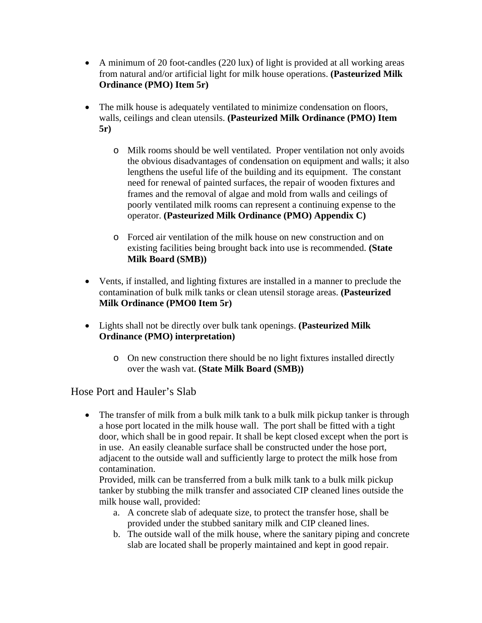- A minimum of 20 foot-candles (220 lux) of light is provided at all working areas from natural and/or artificial light for milk house operations. **(Pasteurized Milk Ordinance (PMO) Item 5r)**
- The milk house is adequately ventilated to minimize condensation on floors, walls, ceilings and clean utensils. **(Pasteurized Milk Ordinance (PMO) Item 5r)** 
	- o Milk rooms should be well ventilated. Proper ventilation not only avoids the obvious disadvantages of condensation on equipment and walls; it also lengthens the useful life of the building and its equipment. The constant need for renewal of painted surfaces, the repair of wooden fixtures and frames and the removal of algae and mold from walls and ceilings of poorly ventilated milk rooms can represent a continuing expense to the operator. **(Pasteurized Milk Ordinance (PMO) Appendix C)**
	- o Forced air ventilation of the milk house on new construction and on existing facilities being brought back into use is recommended. **(State Milk Board (SMB))**
- Vents, if installed, and lighting fixtures are installed in a manner to preclude the contamination of bulk milk tanks or clean utensil storage areas. **(Pasteurized Milk Ordinance (PMO0 Item 5r)**
- Lights shall not be directly over bulk tank openings. **(Pasteurized Milk Ordinance (PMO) interpretation)** 
	- o On new construction there should be no light fixtures installed directly over the wash vat. **(State Milk Board (SMB))**

# Hose Port and Hauler's Slab

• The transfer of milk from a bulk milk tank to a bulk milk pickup tanker is through a hose port located in the milk house wall. The port shall be fitted with a tight door, which shall be in good repair. It shall be kept closed except when the port is in use. An easily cleanable surface shall be constructed under the hose port, adjacent to the outside wall and sufficiently large to protect the milk hose from contamination.

Provided, milk can be transferred from a bulk milk tank to a bulk milk pickup tanker by stubbing the milk transfer and associated CIP cleaned lines outside the milk house wall, provided:

- a. A concrete slab of adequate size, to protect the transfer hose, shall be provided under the stubbed sanitary milk and CIP cleaned lines.
- b. The outside wall of the milk house, where the sanitary piping and concrete slab are located shall be properly maintained and kept in good repair.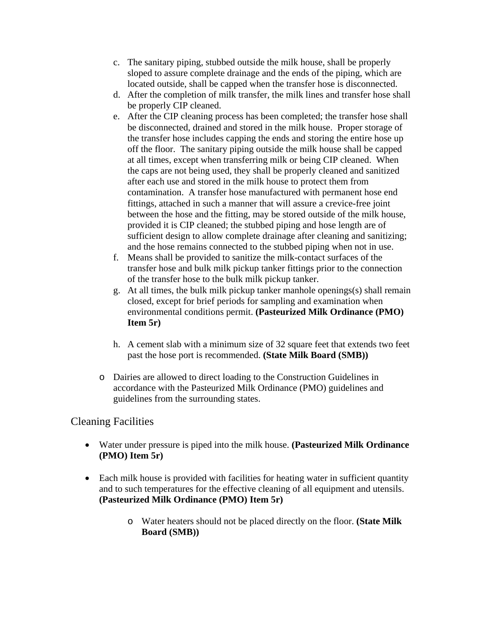- c. The sanitary piping, stubbed outside the milk house, shall be properly sloped to assure complete drainage and the ends of the piping, which are located outside, shall be capped when the transfer hose is disconnected.
- d. After the completion of milk transfer, the milk lines and transfer hose shall be properly CIP cleaned.
- e. After the CIP cleaning process has been completed; the transfer hose shall be disconnected, drained and stored in the milk house. Proper storage of the transfer hose includes capping the ends and storing the entire hose up off the floor. The sanitary piping outside the milk house shall be capped at all times, except when transferring milk or being CIP cleaned. When the caps are not being used, they shall be properly cleaned and sanitized after each use and stored in the milk house to protect them from contamination. A transfer hose manufactured with permanent hose end fittings, attached in such a manner that will assure a crevice-free joint between the hose and the fitting, may be stored outside of the milk house, provided it is CIP cleaned; the stubbed piping and hose length are of sufficient design to allow complete drainage after cleaning and sanitizing; and the hose remains connected to the stubbed piping when not in use.
- f. Means shall be provided to sanitize the milk-contact surfaces of the transfer hose and bulk milk pickup tanker fittings prior to the connection of the transfer hose to the bulk milk pickup tanker.
- g. At all times, the bulk milk pickup tanker manhole openings(s) shall remain closed, except for brief periods for sampling and examination when environmental conditions permit. **(Pasteurized Milk Ordinance (PMO) Item 5r)**
- h. A cement slab with a minimum size of 32 square feet that extends two feet past the hose port is recommended. **(State Milk Board (SMB))**
- o Dairies are allowed to direct loading to the Construction Guidelines in accordance with the Pasteurized Milk Ordinance (PMO) guidelines and guidelines from the surrounding states.

### Cleaning Facilities

- Water under pressure is piped into the milk house. **(Pasteurized Milk Ordinance (PMO) Item 5r)**
- Each milk house is provided with facilities for heating water in sufficient quantity and to such temperatures for the effective cleaning of all equipment and utensils. **(Pasteurized Milk Ordinance (PMO) Item 5r)**
	- o Water heaters should not be placed directly on the floor. **(State Milk Board (SMB))**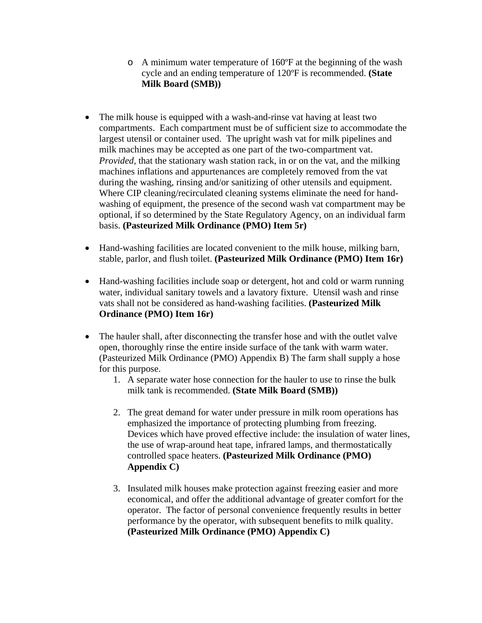- o A minimum water temperature of 160ºF at the beginning of the wash cycle and an ending temperature of 120ºF is recommended. **(State Milk Board (SMB))**
- The milk house is equipped with a wash-and-rinse vat having at least two compartments. Each compartment must be of sufficient size to accommodate the largest utensil or container used. The upright wash vat for milk pipelines and milk machines may be accepted as one part of the two-compartment vat. *Provided,* that the stationary wash station rack, in or on the vat, and the milking machines inflations and appurtenances are completely removed from the vat during the washing, rinsing and/or sanitizing of other utensils and equipment. Where CIP cleaning/recirculated cleaning systems eliminate the need for handwashing of equipment, the presence of the second wash vat compartment may be optional, if so determined by the State Regulatory Agency, on an individual farm basis. **(Pasteurized Milk Ordinance (PMO) Item 5r)**
- Hand-washing facilities are located convenient to the milk house, milking barn, stable, parlor, and flush toilet. **(Pasteurized Milk Ordinance (PMO) Item 16r)**
- Hand-washing facilities include soap or detergent, hot and cold or warm running water, individual sanitary towels and a lavatory fixture. Utensil wash and rinse vats shall not be considered as hand-washing facilities. **(Pasteurized Milk Ordinance (PMO) Item 16r)**
- The hauler shall, after disconnecting the transfer hose and with the outlet valve open, thoroughly rinse the entire inside surface of the tank with warm water. (Pasteurized Milk Ordinance (PMO) Appendix B) The farm shall supply a hose for this purpose.
	- 1. A separate water hose connection for the hauler to use to rinse the bulk milk tank is recommended. **(State Milk Board (SMB))**
	- 2. The great demand for water under pressure in milk room operations has emphasized the importance of protecting plumbing from freezing. Devices which have proved effective include: the insulation of water lines, the use of wrap-around heat tape, infrared lamps, and thermostatically controlled space heaters. **(Pasteurized Milk Ordinance (PMO) Appendix C)**
	- 3. Insulated milk houses make protection against freezing easier and more economical, and offer the additional advantage of greater comfort for the operator. The factor of personal convenience frequently results in better performance by the operator, with subsequent benefits to milk quality. **(Pasteurized Milk Ordinance (PMO) Appendix C)**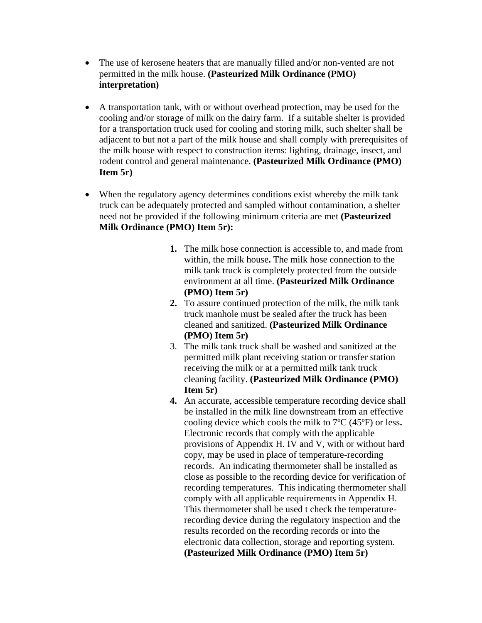- The use of kerosene heaters that are manually filled and/or non-vented are not permitted in the milk house. **(Pasteurized Milk Ordinance (PMO) interpretation)**
- A transportation tank, with or without overhead protection, may be used for the cooling and/or storage of milk on the dairy farm. If a suitable shelter is provided for a transportation truck used for cooling and storing milk, such shelter shall be adjacent to but not a part of the milk house and shall comply with prerequisites of the milk house with respect to construction items: lighting, drainage, insect, and rodent control and general maintenance. **(Pasteurized Milk Ordinance (PMO) Item 5r)**
- When the regulatory agency determines conditions exist whereby the milk tank truck can be adequately protected and sampled without contamination, a shelter need not be provided if the following minimum criteria are met **(Pasteurized Milk Ordinance (PMO) Item 5r):**
	- **1.** The milk hose connection is accessible to, and made from within, the milk house**.** The milk hose connection to the milk tank truck is completely protected from the outside environment at all time. **(Pasteurized Milk Ordinance (PMO) Item 5r)**
	- **2.** To assure continued protection of the milk, the milk tank truck manhole must be sealed after the truck has been cleaned and sanitized. **(Pasteurized Milk Ordinance (PMO) Item 5r)**
	- 3. The milk tank truck shall be washed and sanitized at the permitted milk plant receiving station or transfer station receiving the milk or at a permitted milk tank truck cleaning facility. **(Pasteurized Milk Ordinance (PMO) Item 5r)**
	- **4.** An accurate, accessible temperature recording device shall be installed in the milk line downstream from an effective cooling device which cools the milk to 7ºC (45ºF) or less**.**  Electronic records that comply with the applicable provisions of Appendix H. IV and V, with or without hard copy, may be used in place of temperature-recording records. An indicating thermometer shall be installed as close as possible to the recording device for verification of recording temperatures. This indicating thermometer shall comply with all applicable requirements in Appendix H. This thermometer shall be used t check the temperaturerecording device during the regulatory inspection and the results recorded on the recording records or into the electronic data collection, storage and reporting system. **(Pasteurized Milk Ordinance (PMO) Item 5r)**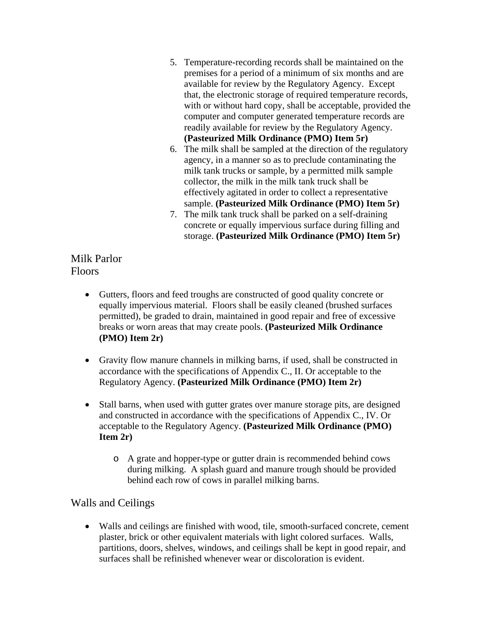- 5. Temperature-recording records shall be maintained on the premises for a period of a minimum of six months and are available for review by the Regulatory Agency. Except that, the electronic storage of required temperature records, with or without hard copy, shall be acceptable, provided the computer and computer generated temperature records are readily available for review by the Regulatory Agency. **(Pasteurized Milk Ordinance (PMO) Item 5r)**
- 6. The milk shall be sampled at the direction of the regulatory agency, in a manner so as to preclude contaminating the milk tank trucks or sample, by a permitted milk sample collector, the milk in the milk tank truck shall be effectively agitated in order to collect a representative sample. **(Pasteurized Milk Ordinance (PMO) Item 5r)**
- 7. The milk tank truck shall be parked on a self-draining concrete or equally impervious surface during filling and storage. **(Pasteurized Milk Ordinance (PMO) Item 5r)**

# Milk Parlor Floors

- Gutters, floors and feed troughs are constructed of good quality concrete or equally impervious material. Floors shall be easily cleaned (brushed surfaces permitted), be graded to drain, maintained in good repair and free of excessive breaks or worn areas that may create pools. **(Pasteurized Milk Ordinance (PMO) Item 2r)**
- Gravity flow manure channels in milking barns, if used, shall be constructed in accordance with the specifications of Appendix C., II. Or acceptable to the Regulatory Agency. **(Pasteurized Milk Ordinance (PMO) Item 2r)**
- Stall barns, when used with gutter grates over manure storage pits, are designed and constructed in accordance with the specifications of Appendix C., IV. Or acceptable to the Regulatory Agency. **(Pasteurized Milk Ordinance (PMO) Item 2r)**
	- o A grate and hopper-type or gutter drain is recommended behind cows during milking. A splash guard and manure trough should be provided behind each row of cows in parallel milking barns.

# Walls and Ceilings

• Walls and ceilings are finished with wood, tile, smooth-surfaced concrete, cement plaster, brick or other equivalent materials with light colored surfaces. Walls, partitions, doors, shelves, windows, and ceilings shall be kept in good repair, and surfaces shall be refinished whenever wear or discoloration is evident.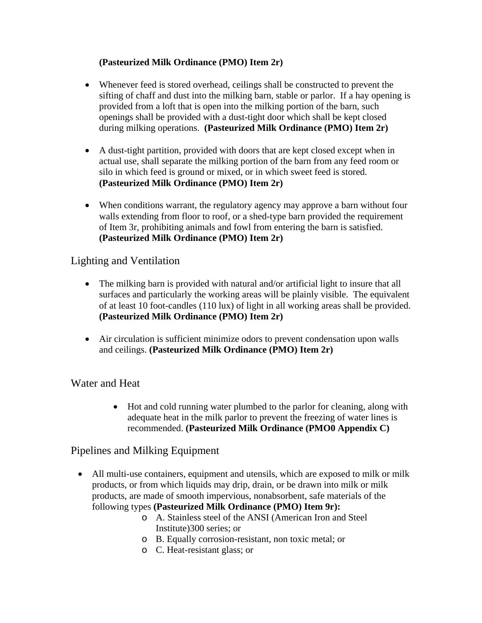#### **(Pasteurized Milk Ordinance (PMO) Item 2r)**

- Whenever feed is stored overhead, ceilings shall be constructed to prevent the sifting of chaff and dust into the milking barn, stable or parlor. If a hay opening is provided from a loft that is open into the milking portion of the barn, such openings shall be provided with a dust-tight door which shall be kept closed during milking operations. **(Pasteurized Milk Ordinance (PMO) Item 2r)**
- A dust-tight partition, provided with doors that are kept closed except when in actual use, shall separate the milking portion of the barn from any feed room or silo in which feed is ground or mixed, or in which sweet feed is stored. **(Pasteurized Milk Ordinance (PMO) Item 2r)**
- When conditions warrant, the regulatory agency may approve a barn without four walls extending from floor to roof, or a shed-type barn provided the requirement of Item 3r, prohibiting animals and fowl from entering the barn is satisfied. **(Pasteurized Milk Ordinance (PMO) Item 2r)**

### Lighting and Ventilation

- The milking barn is provided with natural and/or artificial light to insure that all surfaces and particularly the working areas will be plainly visible. The equivalent of at least 10 foot-candles (110 lux) of light in all working areas shall be provided. **(Pasteurized Milk Ordinance (PMO) Item 2r)**
- Air circulation is sufficient minimize odors to prevent condensation upon walls and ceilings. **(Pasteurized Milk Ordinance (PMO) Item 2r)**

### Water and Heat

• Hot and cold running water plumbed to the parlor for cleaning, along with adequate heat in the milk parlor to prevent the freezing of water lines is recommended. **(Pasteurized Milk Ordinance (PMO0 Appendix C)**

### Pipelines and Milking Equipment

- All multi-use containers, equipment and utensils, which are exposed to milk or milk products, or from which liquids may drip, drain, or be drawn into milk or milk products, are made of smooth impervious, nonabsorbent, safe materials of the following types **(Pasteurized Milk Ordinance (PMO) Item 9r):**
	- o A. Stainless steel of the ANSI (American Iron and Steel Institute)300 series; or
	- o B. Equally corrosion-resistant, non toxic metal; or
	- o C. Heat-resistant glass; or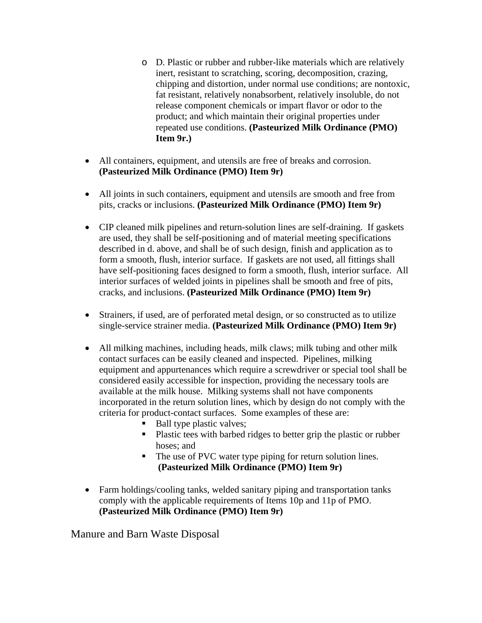- o D. Plastic or rubber and rubber-like materials which are relatively inert, resistant to scratching, scoring, decomposition, crazing, chipping and distortion, under normal use conditions; are nontoxic, fat resistant, relatively nonabsorbent, relatively insoluble, do not release component chemicals or impart flavor or odor to the product; and which maintain their original properties under repeated use conditions. **(Pasteurized Milk Ordinance (PMO) Item 9r.)**
- All containers, equipment, and utensils are free of breaks and corrosion. **(Pasteurized Milk Ordinance (PMO) Item 9r)**
- All joints in such containers, equipment and utensils are smooth and free from pits, cracks or inclusions. **(Pasteurized Milk Ordinance (PMO) Item 9r)**
- CIP cleaned milk pipelines and return-solution lines are self-draining. If gaskets are used, they shall be self-positioning and of material meeting specifications described in d. above, and shall be of such design, finish and application as to form a smooth, flush, interior surface. If gaskets are not used, all fittings shall have self-positioning faces designed to form a smooth, flush, interior surface. All interior surfaces of welded joints in pipelines shall be smooth and free of pits, cracks, and inclusions. **(Pasteurized Milk Ordinance (PMO) Item 9r)**
- Strainers, if used, are of perforated metal design, or so constructed as to utilize single-service strainer media. **(Pasteurized Milk Ordinance (PMO) Item 9r)**
- All milking machines, including heads, milk claws; milk tubing and other milk contact surfaces can be easily cleaned and inspected. Pipelines, milking equipment and appurtenances which require a screwdriver or special tool shall be considered easily accessible for inspection, providing the necessary tools are available at the milk house. Milking systems shall not have components incorporated in the return solution lines, which by design do not comply with the criteria for product-contact surfaces. Some examples of these are:
	- Ball type plastic valves;
	- Plastic tees with barbed ridges to better grip the plastic or rubber hoses; and
	- The use of PVC water type piping for return solution lines. **(Pasteurized Milk Ordinance (PMO) Item 9r)**
- Farm holdings/cooling tanks, welded sanitary piping and transportation tanks comply with the applicable requirements of Items 10p and 11p of PMO. **(Pasteurized Milk Ordinance (PMO) Item 9r)**

Manure and Barn Waste Disposal